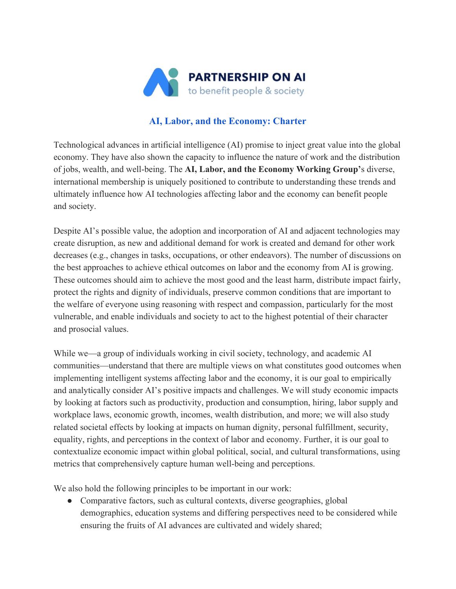

## **AI, Labor, and the Economy: Charter**

Technological advances in artificial intelligence (AI) promise to inject great value into the global economy. They have also shown the capacity to influence the nature of work and the distribution of jobs, wealth, and well-being. The **AI, Labor, and the Economy Working Group'**s diverse, international membership is uniquely positioned to contribute to understanding these trends and ultimately influence how AI technologies affecting labor and the economy can benefit people and society.

Despite AI's possible value, the adoption and incorporation of AI and adjacent technologies may create disruption, as new and additional demand for work is created and demand for other work decreases (e.g., changes in tasks, occupations, or other endeavors). The number of discussions on the best approaches to achieve ethical outcomes on labor and the economy from AI is growing. These outcomes should aim to achieve the most good and the least harm, distribute impact fairly, protect the rights and dignity of individuals, preserve common conditions that are important to the welfare of everyone using reasoning with respect and compassion, particularly for the most vulnerable, and enable individuals and society to act to the highest potential of their character and prosocial values.

While we—a group of individuals working in civil society, technology, and academic AI communities—understand that there are multiple views on what constitutes good outcomes when implementing intelligent systems affecting labor and the economy, it is our goal to empirically and analytically consider AI's positive impacts and challenges. We will study economic impacts by looking at factors such as productivity, production and consumption, hiring, labor supply and workplace laws, economic growth, incomes, wealth distribution, and more; we will also study related societal effects by looking at impacts on human dignity, personal fulfillment, security, equality, rights, and perceptions in the context of labor and economy. Further, it is our goal to contextualize economic impact within global political, social, and cultural transformations, using metrics that comprehensively capture human well-being and perceptions.

We also hold the following principles to be important in our work:

• Comparative factors, such as cultural contexts, diverse geographies, global demographics, education systems and differing perspectives need to be considered while ensuring the fruits of AI advances are cultivated and widely shared;